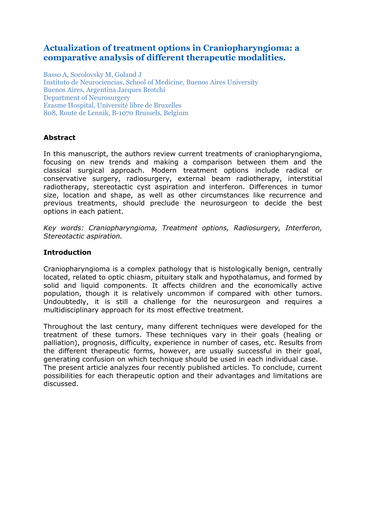# **Actualization of treatment options in Craniopharyngioma: a comparative analysis of different therapeutic modalities.**

Basso A, Socolovsky M, Goland J Instituto de Neurociencias, School of Medicine, Buenos Aires University Buenos Aires, Argentina Jacques Brotchi Department of Neurosurgery Erasme Hospital, Université libre de Bruxelles 808, Route de Lennik, B-1070 Brussels, Belgium

# **Abstract**

In this manuscript, the authors review current treatments of craniopharyngioma, focusing on new trends and making a comparison between them and the classical surgical approach. Modern treatment options include radical or conservative surgery, radiosurgery, external beam radiotherapy, interstitial radiotherapy, stereotactic cyst aspiration and interferon. Differences in tumor size, location and shape, as well as other circumstances like recurrence and previous treatments, should preclude the neurosurgeon to decide the best options in each patient.

*Key words: Craniopharyngioma, Treatment options, Radiosurgery, Interferon, Stereotactic aspiration.*

## **Introduction**

Craniopharyngioma is a complex pathology that is histologically benign, centrally located, related to optic chiasm, pituitary stalk and hypothalamus, and formed by solid and liquid components. It affects children and the economically active population, though it is relatively uncommon if compared with other tumors. Undoubtedly, it is still a challenge for the neurosurgeon and requires a multidisciplinary approach for its most effective treatment.

Throughout the last century, many different techniques were developed for the treatment of these tumors. These techniques vary in their goals (healing or palliation), prognosis, difficulty, experience in number of cases, etc. Results from the different therapeutic forms, however, are usually successful in their goal, generating confusion on which technique should be used in each individual case. The present article analyzes four recently published articles. To conclude, current possibilities for each therapeutic option and their advantages and limitations are discussed.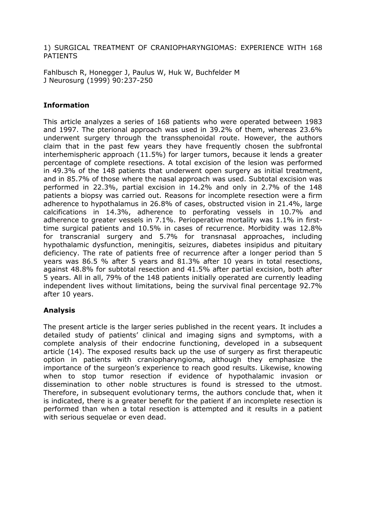1) SURGICAL TREATMENT OF CRANIOPHARYNGIOMAS: EXPERIENCE WITH 168 PATIENTS

Fahlbusch R, Honegger J, Paulus W, Huk W, Buchfelder M J Neurosurg (1999) 90:237-250

## **Information**

This article analyzes a series of 168 patients who were operated between 1983 and 1997. The pterional approach was used in 39.2% of them, whereas 23.6% underwent surgery through the transsphenoidal route. However, the authors claim that in the past few years they have frequently chosen the subfrontal interhemispheric approach (11.5%) for larger tumors, because it lends a greater percentage of complete resections. A total excision of the lesion was performed in 49.3% of the 148 patients that underwent open surgery as initial treatment, and in 85.7% of those where the nasal approach was used. Subtotal excision was performed in 22.3%, partial excision in 14.2% and only in 2.7% of the 148 patients a biopsy was carried out. Reasons for incomplete resection were a firm adherence to hypothalamus in 26.8% of cases, obstructed vision in 21.4%, large calcifications in 14.3%, adherence to perforating vessels in 10.7% and adherence to greater vessels in 7.1%. Perioperative mortality was 1.1% in firsttime surgical patients and 10.5% in cases of recurrence. Morbidity was 12.8% for transcranial surgery and 5.7% for transnasal approaches, including hypothalamic dysfunction, meningitis, seizures, diabetes insipidus and pituitary deficiency. The rate of patients free of recurrence after a longer period than 5 years was 86.5 % after 5 years and 81.3% after 10 years in total resections, against 48.8% for subtotal resection and 41.5% after partial excision, both after 5 years. All in all, 79% of the 148 patients initially operated are currently leading independent lives without limitations, being the survival final percentage 92.7% after 10 years.

## **Analysis**

The present article is the larger series published in the recent years. It includes a detailed study of patients' clinical and imaging signs and symptoms, with a complete analysis of their endocrine functioning, developed in a subsequent article (14). The exposed results back up the use of surgery as first therapeutic option in patients with craniopharyngioma, although they emphasize the importance of the surgeon's experience to reach good results. Likewise, knowing when to stop tumor resection if evidence of hypothalamic invasion or dissemination to other noble structures is found is stressed to the utmost. Therefore, in subsequent evolutionary terms, the authors conclude that, when it is indicated, there is a greater benefit for the patient if an incomplete resection is performed than when a total resection is attempted and it results in a patient with serious sequelae or even dead.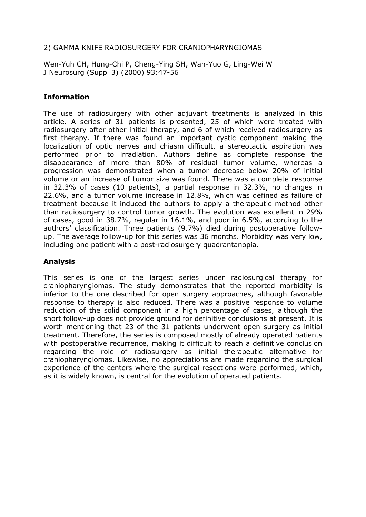## 2) GAMMA KNIFE RADIOSURGERY FOR CRANIOPHARYNGIOMAS

Wen-Yuh CH, Hung-Chi P, Cheng-Ying SH, Wan-Yuo G, Ling-Wei W J Neurosurg (Suppl 3) (2000) 93:47-56

# **Information**

The use of radiosurgery with other adjuvant treatments is analyzed in this article. A series of 31 patients is presented, 25 of which were treated with radiosurgery after other initial therapy, and 6 of which received radiosurgery as first therapy. If there was found an important cystic component making the localization of optic nerves and chiasm difficult, a stereotactic aspiration was performed prior to irradiation. Authors define as complete response the disappearance of more than 80% of residual tumor volume, whereas a progression was demonstrated when a tumor decrease below 20% of initial volume or an increase of tumor size was found. There was a complete response in 32.3% of cases (10 patients), a partial response in 32.3%, no changes in 22.6%, and a tumor volume increase in 12.8%, which was defined as failure of treatment because it induced the authors to apply a therapeutic method other than radiosurgery to control tumor growth. The evolution was excellent in 29% of cases, good in 38.7%, regular in 16.1%, and poor in 6.5%, according to the authors' classification. Three patients (9.7%) died during postoperative followup. The average follow-up for this series was 36 months. Morbidity was very low, including one patient with a post-radiosurgery quadrantanopia.

# **Analysis**

This series is one of the largest series under radiosurgical therapy for craniopharyngiomas. The study demonstrates that the reported morbidity is inferior to the one described for open surgery approaches, although favorable response to therapy is also reduced. There was a positive response to volume reduction of the solid component in a high percentage of cases, although the short follow-up does not provide ground for definitive conclusions at present. It is worth mentioning that 23 of the 31 patients underwent open surgery as initial treatment. Therefore, the series is composed mostly of already operated patients with postoperative recurrence, making it difficult to reach a definitive conclusion regarding the role of radiosurgery as initial therapeutic alternative for craniopharyngiomas. Likewise, no appreciations are made regarding the surgical experience of the centers where the surgical resections were performed, which, as it is widely known, is central for the evolution of operated patients.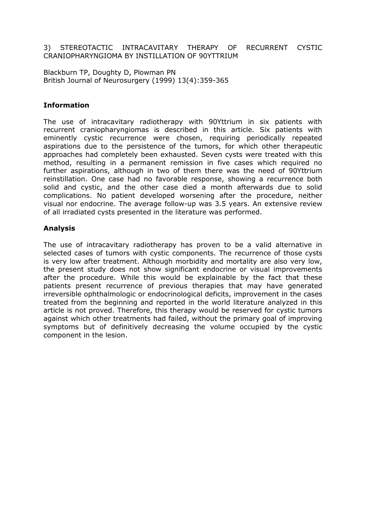#### 3) STEREOTACTIC INTRACAVITARY THERAPY OF RECURRENT CYSTIC CRANIOPHARYNGIOMA BY INSTILLATION OF 90YTTRIUM

Blackburn TP, Doughty D, Plowman PN British Journal of Neurosurgery (1999) 13(4):359-365

## **Information**

The use of intracavitary radiotherapy with 90Yttrium in six patients with recurrent craniopharyngiomas is described in this article. Six patients with eminently cystic recurrence were chosen, requiring periodically repeated aspirations due to the persistence of the tumors, for which other therapeutic approaches had completely been exhausted. Seven cysts were treated with this method, resulting in a permanent remission in five cases which required no further aspirations, although in two of them there was the need of 90Yttrium reinstillation. One case had no favorable response, showing a recurrence both solid and cystic, and the other case died a month afterwards due to solid complications. No patient developed worsening after the procedure, neither visual nor endocrine. The average follow-up was 3.5 years. An extensive review of all irradiated cysts presented in the literature was performed.

## **Analysis**

The use of intracavitary radiotherapy has proven to be a valid alternative in selected cases of tumors with cystic components. The recurrence of those cysts is very low after treatment. Although morbidity and mortality are also very low, the present study does not show significant endocrine or visual improvements after the procedure. While this would be explainable by the fact that these patients present recurrence of previous therapies that may have generated irreversible ophthalmologic or endocrinological deficits, improvement in the cases treated from the beginning and reported in the world literature analyzed in this article is not proved. Therefore, this therapy would be reserved for cystic tumors against which other treatments had failed, without the primary goal of improving symptoms but of definitively decreasing the volume occupied by the cystic component in the lesion.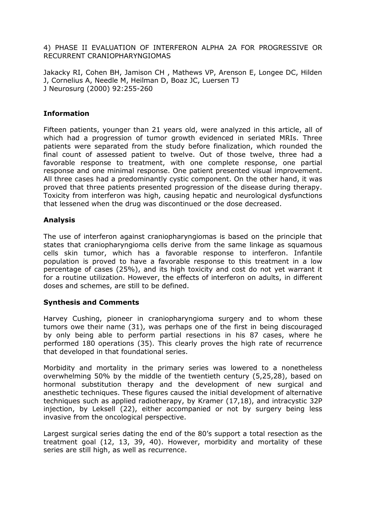4) PHASE II EVALUATION OF INTERFERON ALPHA 2A FOR PROGRESSIVE OR RECURRENT CRANIOPHARYNGIOMAS

Jakacky RI, Cohen BH, Jamison CH , Mathews VP, Arenson E, Longee DC, Hilden J, Cornelius A, Needle M, Heilman D, Boaz JC, Luersen TJ J Neurosurg (2000) 92:255-260

### **Information**

Fifteen patients, younger than 21 years old, were analyzed in this article, all of which had a progression of tumor growth evidenced in seriated MRIs. Three patients were separated from the study before finalization, which rounded the final count of assessed patient to twelve. Out of those twelve, three had a favorable response to treatment, with one complete response, one partial response and one minimal response. One patient presented visual improvement. All three cases had a predominantly cystic component. On the other hand, it was proved that three patients presented progression of the disease during therapy. Toxicity from interferon was high, causing hepatic and neurological dysfunctions that lessened when the drug was discontinued or the dose decreased.

## **Analysis**

The use of interferon against craniopharyngiomas is based on the principle that states that craniopharyngioma cells derive from the same linkage as squamous cells skin tumor, which has a favorable response to interferon. Infantile population is proved to have a favorable response to this treatment in a low percentage of cases (25%), and its high toxicity and cost do not yet warrant it for a routine utilization. However, the effects of interferon on adults, in different doses and schemes, are still to be defined.

#### **Synthesis and Comments**

Harvey Cushing, pioneer in craniopharyngioma surgery and to whom these tumors owe their name (31), was perhaps one of the first in being discouraged by only being able to perform partial resections in his 87 cases, where he performed 180 operations (35). This clearly proves the high rate of recurrence that developed in that foundational series.

Morbidity and mortality in the primary series was lowered to a nonetheless overwhelming 50% by the middle of the twentieth century (5,25,28), based on hormonal substitution therapy and the development of new surgical and anesthetic techniques. These figures caused the initial development of alternative techniques such as applied radiotherapy, by Kramer (17,18), and intracystic 32P injection, by Leksell (22), either accompanied or not by surgery being less invasive from the oncological perspective.

Largest surgical series dating the end of the 80's support a total resection as the treatment goal (12, 13, 39, 40). However, morbidity and mortality of these series are still high, as well as recurrence.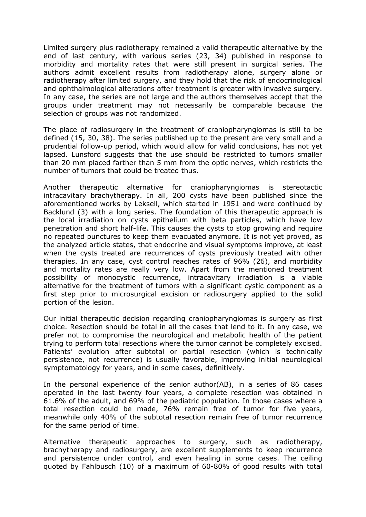Limited surgery plus radiotherapy remained a valid therapeutic alternative by the end of last century, with various series (23, 34) published in response to morbidity and mortality rates that were still present in surgical series. The authors admit excellent results from radiotherapy alone, surgery alone or radiotherapy after limited surgery, and they hold that the risk of endocrinological and ophthalmological alterations after treatment is greater with invasive surgery. In any case, the series are not large and the authors themselves accept that the groups under treatment may not necessarily be comparable because the selection of groups was not randomized.

The place of radiosurgery in the treatment of craniopharyngiomas is still to be defined (15, 30, 38). The series published up to the present are very small and a prudential follow-up period, which would allow for valid conclusions, has not yet lapsed. Lunsford suggests that the use should be restricted to tumors smaller than 20 mm placed farther than 5 mm from the optic nerves, which restricts the number of tumors that could be treated thus.

Another therapeutic alternative for craniopharyngiomas is stereotactic intracavitary brachytherapy. In all, 200 cysts have been published since the aforementioned works by Leksell, which started in 1951 and were continued by Backlund (3) with a long series. The foundation of this therapeutic approach is the local irradiation on cysts epithelium with beta particles, which have low penetration and short half-life. This causes the cysts to stop growing and require no repeated punctures to keep them evacuated anymore. It is not yet proved, as the analyzed article states, that endocrine and visual symptoms improve, at least when the cysts treated are recurrences of cysts previously treated with other therapies. In any case, cyst control reaches rates of 96% (26), and morbidity and mortality rates are really very low. Apart from the mentioned treatment possibility of monocystic recurrence, intracavitary irradiation is a viable alternative for the treatment of tumors with a significant cystic component as a first step prior to microsurgical excision or radiosurgery applied to the solid portion of the lesion.

Our initial therapeutic decision regarding craniopharyngiomas is surgery as first choice. Resection should be total in all the cases that lend to it. In any case, we prefer not to compromise the neurological and metabolic health of the patient trying to perform total resections where the tumor cannot be completely excised. Patients' evolution after subtotal or partial resection (which is technically persistence, not recurrence) is usually favorable, improving initial neurological symptomatology for years, and in some cases, definitively.

In the personal experience of the senior author(AB), in a series of 86 cases operated in the last twenty four years, a complete resection was obtained in 61.6% of the adult, and 69% of the pediatric population. In those cases where a total resection could be made, 76% remain free of tumor for five years, meanwhile only 40% of the subtotal resection remain free of tumor recurrence for the same period of time.

Alternative therapeutic approaches to surgery, such as radiotherapy, brachytherapy and radiosurgery, are excellent supplements to keep recurrence and persistence under control, and even healing in some cases. The ceiling quoted by Fahlbusch (10) of a maximum of 60-80% of good results with total